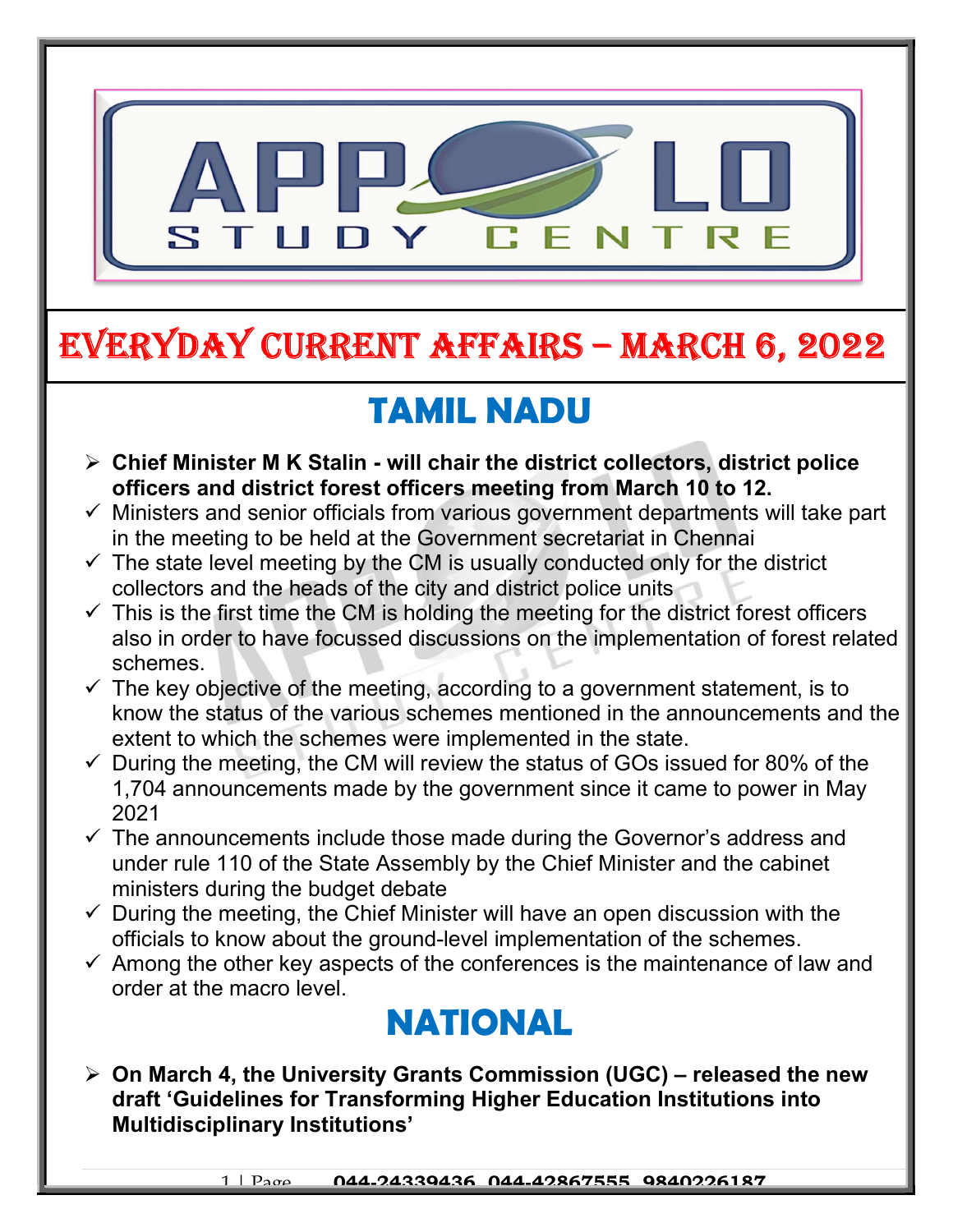

# EVERYDAY CURRENT AFFAIRS – mARCh 6, 2022

-

# TAMIL NADU

- $\triangleright$  Chief Minister M K Stalin will chair the district collectors, district police officers and district forest officers meeting from March 10 to 12.
- $\checkmark$  Ministers and senior officials from various government departments will take part in the meeting to be held at the Government secretariat in Chennai
- $\checkmark$  The state level meeting by the CM is usually conducted only for the district collectors and the heads of the city and district police units
- $\checkmark$  This is the first time the CM is holding the meeting for the district forest officers also in order to have focussed discussions on the implementation of forest related schemes.
- $\checkmark$  The key objective of the meeting, according to a government statement, is to know the status of the various schemes mentioned in the announcements and the extent to which the schemes were implemented in the state.
- $\checkmark$  During the meeting, the CM will review the status of GOs issued for 80% of the 1,704 announcements made by the government since it came to power in May 2021
- $\checkmark$  The announcements include those made during the Governor's address and under rule 110 of the State Assembly by the Chief Minister and the cabinet ministers during the budget debate
- $\checkmark$  During the meeting, the Chief Minister will have an open discussion with the officials to know about the ground-level implementation of the schemes.
- $\checkmark$  Among the other key aspects of the conferences is the maintenance of law and order at the macro level.

### NATIONAL

 $\triangleright$  On March 4, the University Grants Commission (UGC) – released the new draft 'Guidelines for Transforming Higher Education Institutions into Multidisciplinary Institutions'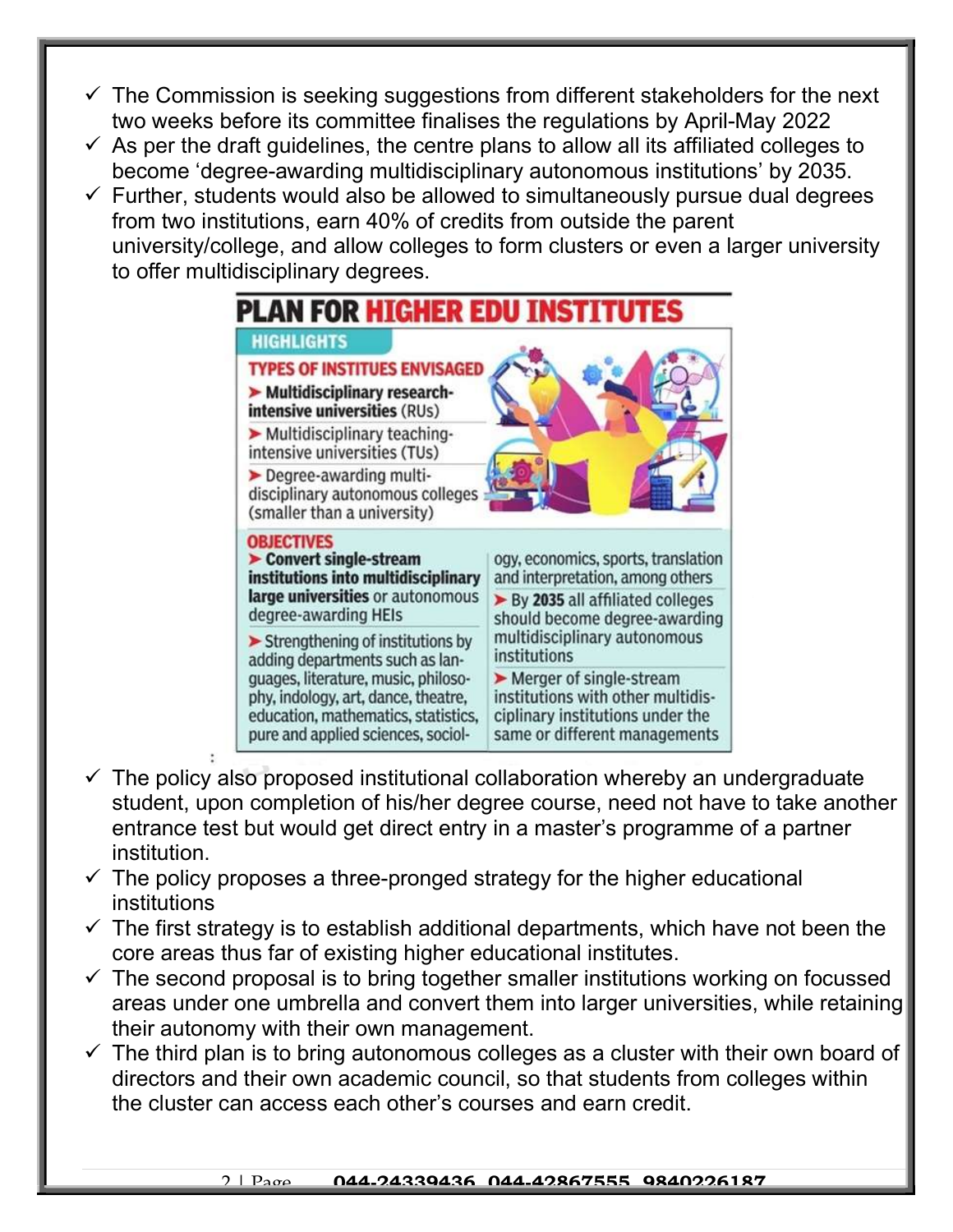- $\checkmark$  The Commission is seeking suggestions from different stakeholders for the next two weeks before its committee finalises the regulations by April-May 2022
- $\checkmark$  As per the draft guidelines, the centre plans to allow all its affiliated colleges to become 'degree-awarding multidisciplinary autonomous institutions' by 2035.
- $\checkmark$  Further, students would also be allowed to simultaneously pursue dual degrees from two institutions, earn 40% of credits from outside the parent university/college, and allow colleges to form clusters or even a larger university to offer multidisciplinary degrees.



- $\checkmark$  The policy also proposed institutional collaboration whereby an undergraduate student, upon completion of his/her degree course, need not have to take another entrance test but would get direct entry in a master's programme of a partner institution.
- $\checkmark$  The policy proposes a three-pronged strategy for the higher educational institutions
- $\checkmark$  The first strategy is to establish additional departments, which have not been the core areas thus far of existing higher educational institutes.
- $\checkmark$  The second proposal is to bring together smaller institutions working on focussed areas under one umbrella and convert them into larger universities, while retaining their autonomy with their own management.
- $\checkmark$  The third plan is to bring autonomous colleges as a cluster with their own board of directors and their own academic council, so that students from colleges within the cluster can access each other's courses and earn credit.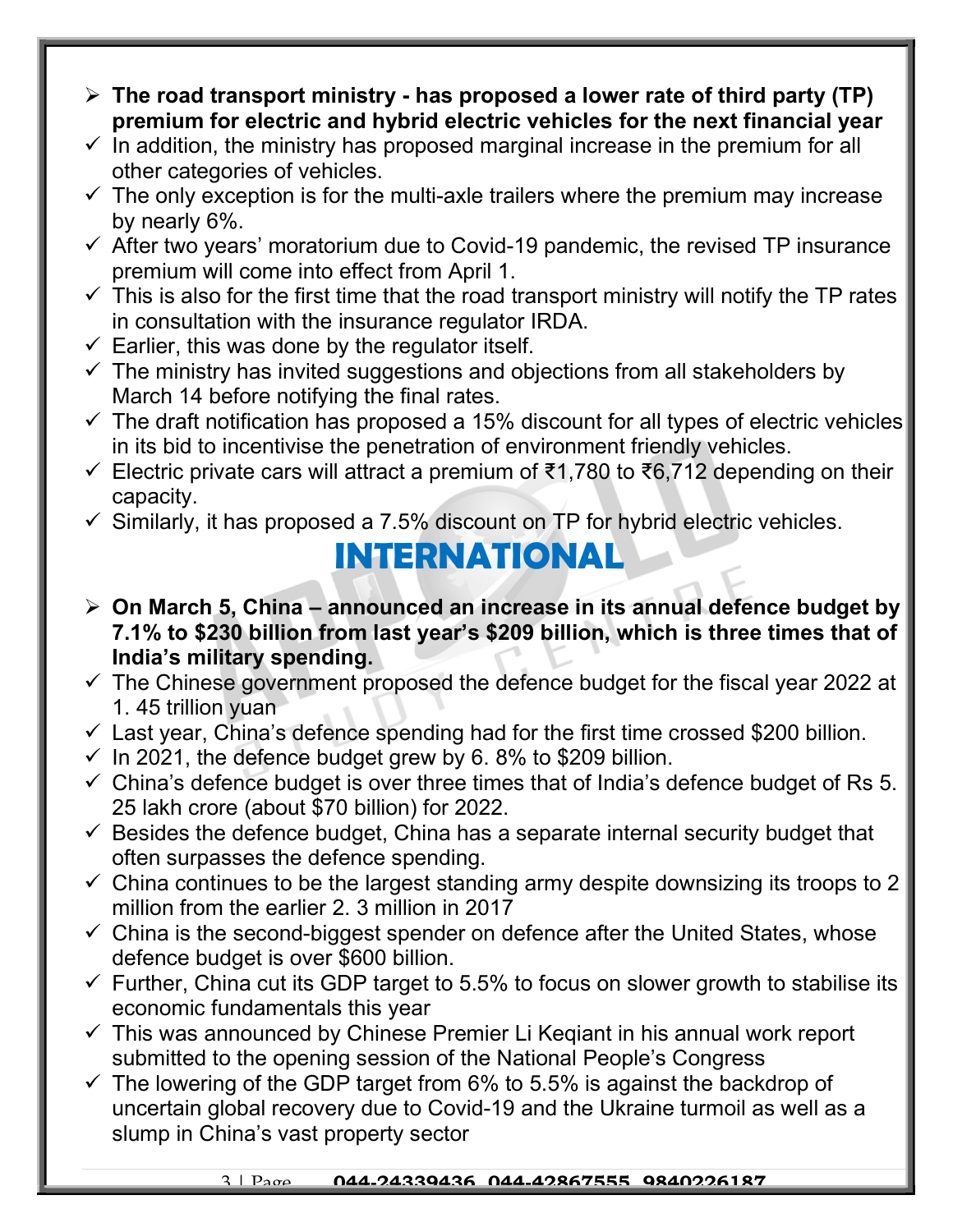- $\triangleright$  The road transport ministry has proposed a lower rate of third party (TP) premium for electric and hybrid electric vehicles for the next financial year
- $\checkmark$  In addition, the ministry has proposed marginal increase in the premium for all other categories of vehicles.
- $\checkmark$  The only exception is for the multi-axle trailers where the premium may increase by nearly 6%.
- $\checkmark$  After two years' moratorium due to Covid-19 pandemic, the revised TP insurance premium will come into effect from April 1.
- $\checkmark$  This is also for the first time that the road transport ministry will notify the TP rates in consultation with the insurance regulator IRDA.
- $\checkmark$  Earlier, this was done by the regulator itself.
- $\checkmark$  The ministry has invited suggestions and objections from all stakeholders by March 14 before notifying the final rates.
- $\checkmark$  The draft notification has proposed a 15% discount for all types of electric vehicles in its bid to incentivise the penetration of environment friendly vehicles.
- Electric private cars will attract a premium of ₹1,780 to ₹6,712 depending on their capacity.
- $\checkmark$  Similarly, it has proposed a 7.5% discount on TP for hybrid electric vehicles.

#### INTERNATIONAL

- $\triangleright$  On March 5, China announced an increase in its annual defence budget by 7.1% to \$230 billion from last year's \$209 billion, which is three times that of India's military spending.
- $\checkmark$  The Chinese government proposed the defence budget for the fiscal year 2022 at 1. 45 trillion yuan
- $\checkmark$  Last year, China's defence spending had for the first time crossed \$200 billion.
- $\checkmark$  In 2021, the defence budget grew by 6.8% to \$209 billion.
- $\checkmark$  China's defence budget is over three times that of India's defence budget of Rs 5. 25 lakh crore (about \$70 billion) for 2022.
- $\checkmark$  Besides the defence budget, China has a separate internal security budget that often surpasses the defence spending.
- $\checkmark$  China continues to be the largest standing army despite downsizing its troops to 2 million from the earlier 2. 3 million in 2017
- $\checkmark$  China is the second-biggest spender on defence after the United States, whose defence budget is over \$600 billion.
- $\checkmark$  Further, China cut its GDP target to 5.5% to focus on slower growth to stabilise its economic fundamentals this year
- $\checkmark$  This was announced by Chinese Premier Li Keqiant in his annual work report submitted to the opening session of the National People's Congress
- $\checkmark$  The lowering of the GDP target from 6% to 5.5% is against the backdrop of uncertain global recovery due to Covid-19 and the Ukraine turmoil as well as a slump in China's vast property sector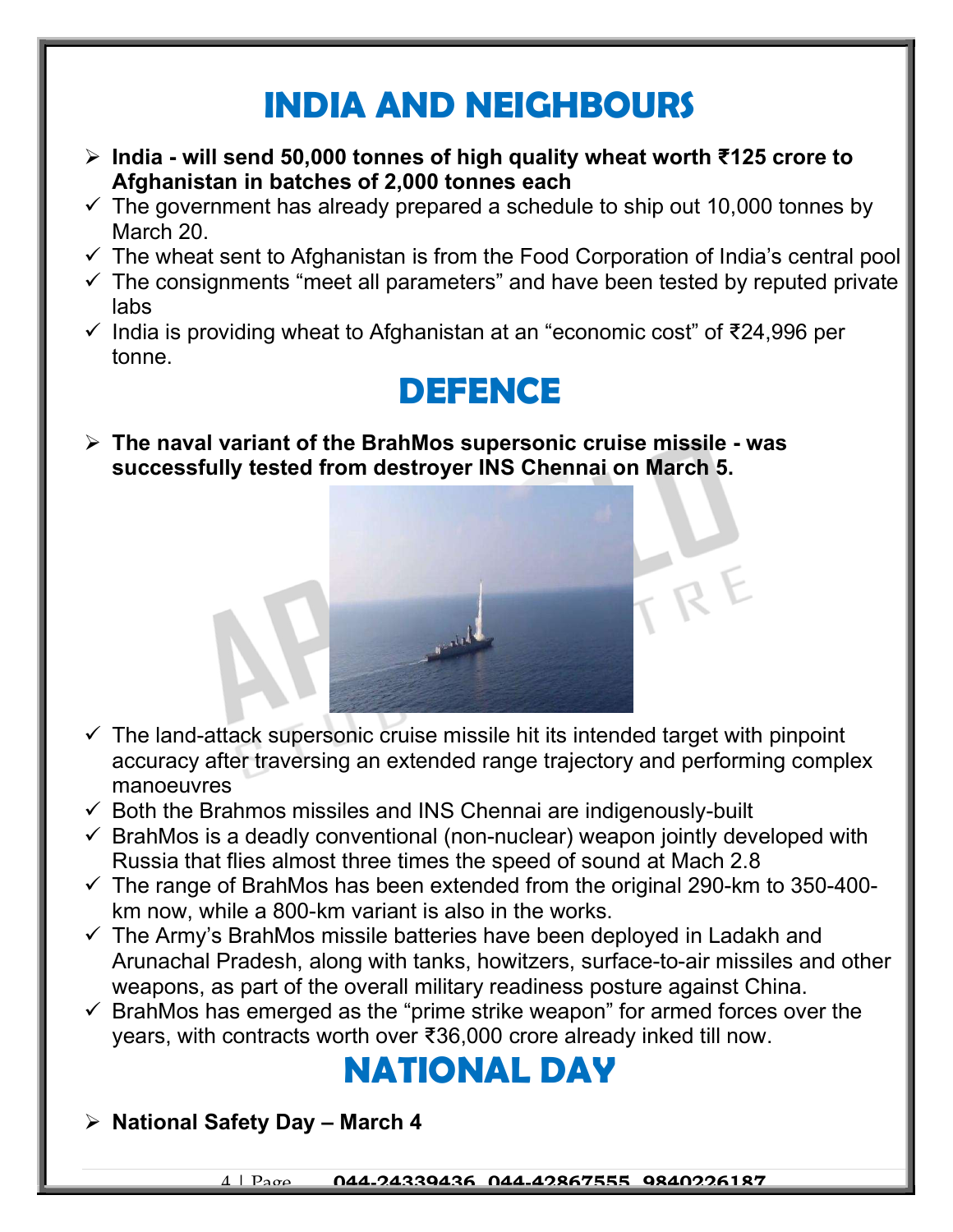## INDIA AND NEIGHBOURS

- India will send 50,000 tonnes of high quality wheat worth ₹125 crore to Afghanistan in batches of 2,000 tonnes each
- $\checkmark$  The government has already prepared a schedule to ship out 10,000 tonnes by March 20.
- $\checkmark$  The wheat sent to Afghanistan is from the Food Corporation of India's central pool
- $\checkmark$  The consignments "meet all parameters" and have been tested by reputed private labs
- $\checkmark$  India is providing wheat to Afghanistan at an "economic cost" of ₹24,996 per tonne.

### DEFENCE

 $\triangleright$  The naval variant of the BrahMos supersonic cruise missile - was successfully tested from destroyer INS Chennai on March 5.

- $\checkmark$  The land-attack supersonic cruise missile hit its intended target with pinpoint accuracy after traversing an extended range trajectory and performing complex manoeuvres
- $\checkmark$  Both the Brahmos missiles and INS Chennai are indigenously-built
- $\checkmark$  BrahMos is a deadly conventional (non-nuclear) weapon jointly developed with Russia that flies almost three times the speed of sound at Mach 2.8
- $\checkmark$  The range of BrahMos has been extended from the original 290-km to 350-400km now, while a 800-km variant is also in the works.
- $\checkmark$  The Army's BrahMos missile batteries have been deployed in Ladakh and Arunachal Pradesh, along with tanks, howitzers, surface-to-air missiles and other weapons, as part of the overall military readiness posture against China.
- $\checkmark$  BrahMos has emerged as the "prime strike weapon" for armed forces over the years, with contracts worth over ₹36,000 crore already inked till now.

## NATIONAL DAY

 $\triangleright$  National Safety Day – March 4